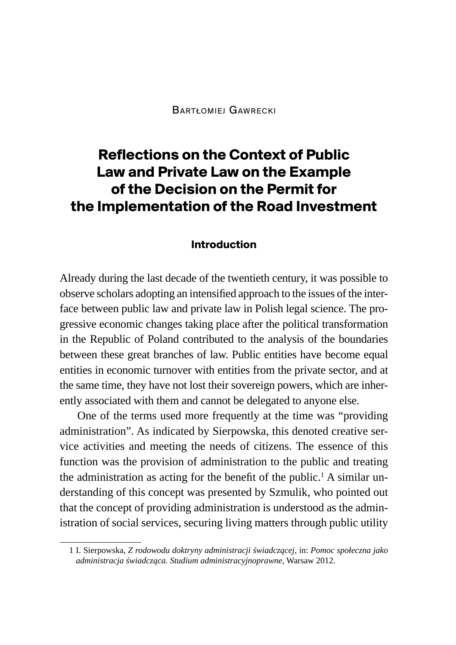# **Reflections on the Context of Public Law and Private Law on the Example of the Decision on the Permit for the Implementation of the Road Investment**

#### **Introduction**

Already during the last decade of the twentieth century, it was possible to observe scholars adopting an intensified approach to the issues of the interface between public law and private law in Polish legal science. The progressive economic changes taking place after the political transformation in the Republic of Poland contributed to the analysis of the boundaries between these great branches of law. Public entities have become equal entities in economic turnover with entities from the private sector, and at the same time, they have not lost their sovereign powers, which are inherently associated with them and cannot be delegated to anyone else.

One of the terms used more frequently at the time was "providing administration". As indicated by Sierpowska, this denoted creative service activities and meeting the needs of citizens. The essence of this function was the provision of administration to the public and treating the administration as acting for the benefit of the public.<sup>1</sup> A similar understanding of this concept was presented by Szmulik, who pointed out that the concept of providing administration is understood as the administration of social services, securing living matters through public utility

<sup>1</sup> I. Sierpowska, *Z rodowodu doktryny administracji świadczącej*, in: *Pomoc społeczna jako administracja świadcząca. Studium administracyjnoprawne*, Warsaw 2012.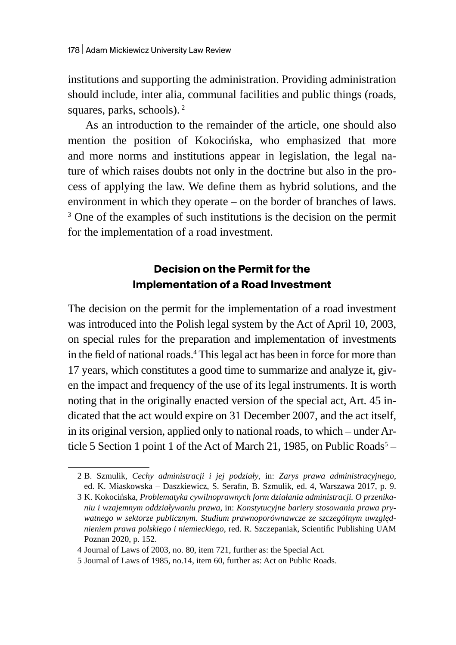institutions and supporting the administration. Providing administration should include, inter alia, communal facilities and public things (roads, squares, parks, schools).<sup>2</sup>

As an introduction to the remainder of the article, one should also mention the position of Kokocińska, who emphasized that more and more norms and institutions appear in legislation, the legal nature of which raises doubts not only in the doctrine but also in the process of applying the law. We define them as hybrid solutions, and the environment in which they operate – on the border of branches of laws. <sup>3</sup> One of the examples of such institutions is the decision on the permit for the implementation of a road investment.

### **Decision on the Permit for the Implementation of a Road Investment**

The decision on the permit for the implementation of a road investment was introduced into the Polish legal system by the Act of April 10, 2003, on special rules for the preparation and implementation of investments in the field of national roads.<sup>4</sup> This legal act has been in force for more than 17 years, which constitutes a good time to summarize and analyze it, given the impact and frequency of the use of its legal instruments. It is worth noting that in the originally enacted version of the special act, Art. 45 indicated that the act would expire on 31 December 2007, and the act itself, in its original version, applied only to national roads, to which – under Article 5 Section 1 point 1 of the Act of March 21, 1985, on Public Roads<sup>5</sup> -

<sup>2</sup> B. Szmulik, *Cechy administracji i jej podziały*, in: *Zarys prawa administracyjnego*, ed. K. Miaskowska – Daszkiewicz, S. Serafin, B. Szmulik, ed. 4, Warszawa 2017, p. 9.

<sup>3</sup> K. Kokocińska, *Problematyka cywilnoprawnych form działania administracji. O przenikaniu i wzajemnym oddziaływaniu prawa,* in: *Konstytucyjne bariery stosowania prawa prywatnego w sektorze publicznym. Studium prawnoporównawcze ze szczególnym uwzględnieniem prawa polskiego i niemieckiego*, red. R. Szczepaniak, Scientific Publishing UAM Poznan 2020, p. 152.

<sup>4</sup> Journal of Laws of 2003, no. 80, item 721, further as: the Special Act.

<sup>5</sup> Journal of Laws of 1985, no.14, item 60, further as: Act on Public Roads.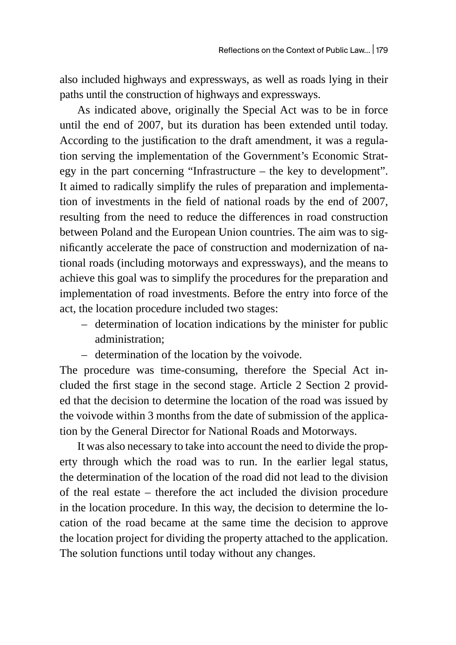also included highways and expressways, as well as roads lying in their paths until the construction of highways and expressways.

As indicated above, originally the Special Act was to be in force until the end of 2007, but its duration has been extended until today. According to the justification to the draft amendment, it was a regulation serving the implementation of the Government's Economic Strategy in the part concerning "Infrastructure – the key to development". It aimed to radically simplify the rules of preparation and implementation of investments in the field of national roads by the end of 2007, resulting from the need to reduce the differences in road construction between Poland and the European Union countries. The aim was to significantly accelerate the pace of construction and modernization of national roads (including motorways and expressways), and the means to achieve this goal was to simplify the procedures for the preparation and implementation of road investments. Before the entry into force of the act, the location procedure included two stages:

- determination of location indications by the minister for public administration;
- determination of the location by the voivode.

The procedure was time-consuming, therefore the Special Act included the first stage in the second stage. Article 2 Section 2 provided that the decision to determine the location of the road was issued by the voivode within 3 months from the date of submission of the application by the General Director for National Roads and Motorways.

It was also necessary to take into account the need to divide the property through which the road was to run. In the earlier legal status, the determination of the location of the road did not lead to the division of the real estate – therefore the act included the division procedure in the location procedure. In this way, the decision to determine the location of the road became at the same time the decision to approve the location project for dividing the property attached to the application. The solution functions until today without any changes.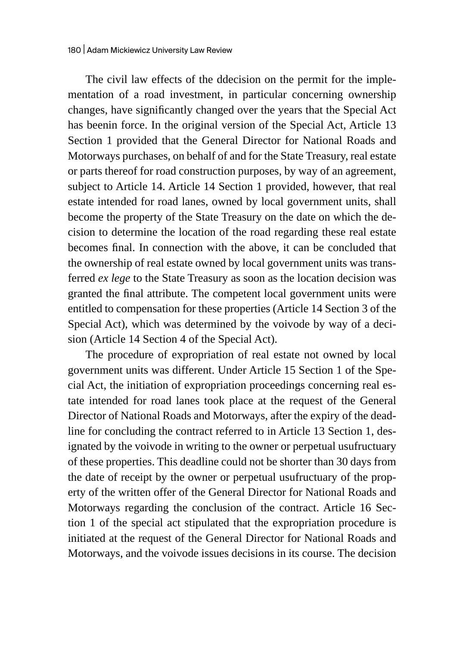The civil law effects of the ddecision on the permit for the implementation of a road investment, in particular concerning ownership changes, have significantly changed over the years that the Special Act has beenin force. In the original version of the Special Act, Article 13 Section 1 provided that the General Director for National Roads and Motorways purchases, on behalf of and for the State Treasury, real estate or parts thereof for road construction purposes, by way of an agreement, subject to Article 14. Article 14 Section 1 provided, however, that real estate intended for road lanes, owned by local government units, shall become the property of the State Treasury on the date on which the decision to determine the location of the road regarding these real estate becomes final. In connection with the above, it can be concluded that the ownership of real estate owned by local government units was transferred *ex lege* to the State Treasury as soon as the location decision was granted the final attribute. The competent local government units were entitled to compensation for these properties (Article 14 Section 3 of the Special Act), which was determined by the voivode by way of a decision (Article 14 Section 4 of the Special Act).

The procedure of expropriation of real estate not owned by local government units was different. Under Article 15 Section 1 of the Special Act, the initiation of expropriation proceedings concerning real estate intended for road lanes took place at the request of the General Director of National Roads and Motorways, after the expiry of the deadline for concluding the contract referred to in Article 13 Section 1, designated by the voivode in writing to the owner or perpetual usufructuary of these properties. This deadline could not be shorter than 30 days from the date of receipt by the owner or perpetual usufructuary of the property of the written offer of the General Director for National Roads and Motorways regarding the conclusion of the contract. Article 16 Section 1 of the special act stipulated that the expropriation procedure is initiated at the request of the General Director for National Roads and Motorways, and the voivode issues decisions in its course. The decision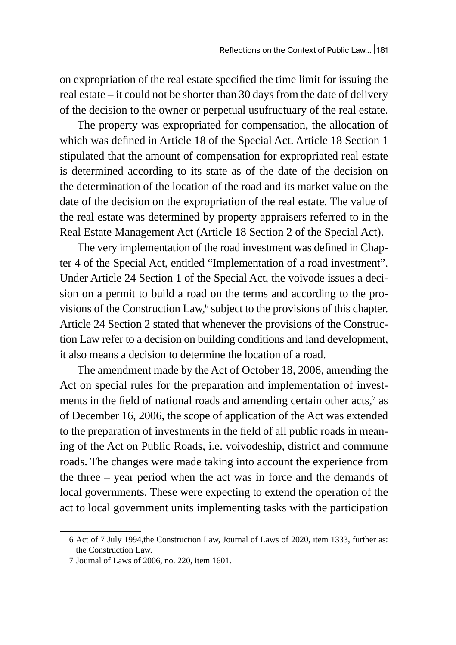on expropriation of the real estate specified the time limit for issuing the real estate – it could not be shorter than 30 days from the date of delivery of the decision to the owner or perpetual usufructuary of the real estate.

The property was expropriated for compensation, the allocation of which was defined in Article 18 of the Special Act. Article 18 Section 1 stipulated that the amount of compensation for expropriated real estate is determined according to its state as of the date of the decision on the determination of the location of the road and its market value on the date of the decision on the expropriation of the real estate. The value of the real estate was determined by property appraisers referred to in the Real Estate Management Act (Article 18 Section 2 of the Special Act).

The very implementation of the road investment was defined in Chapter 4 of the Special Act, entitled "Implementation of a road investment". Under Article 24 Section 1 of the Special Act, the voivode issues a decision on a permit to build a road on the terms and according to the provisions of the Construction  $Law<sup>6</sup>$ , subject to the provisions of this chapter. Article 24 Section 2 stated that whenever the provisions of the Construction Law refer to a decision on building conditions and land development, it also means a decision to determine the location of a road.

The amendment made by the Act of October 18, 2006, amending the Act on special rules for the preparation and implementation of investments in the field of national roads and amending certain other acts, $^7$  as of December 16, 2006, the scope of application of the Act was extended to the preparation of investments in the field of all public roads in meaning of the Act on Public Roads, i.e. voivodeship, district and commune roads. The changes were made taking into account the experience from the three – year period when the act was in force and the demands of local governments. These were expecting to extend the operation of the act to local government units implementing tasks with the participation

<sup>6</sup> Act of 7 July 1994,the Construction Law, Journal of Laws of 2020, item 1333, further as: the Construction Law.

<sup>7</sup> Journal of Laws of 2006, no. 220, item 1601.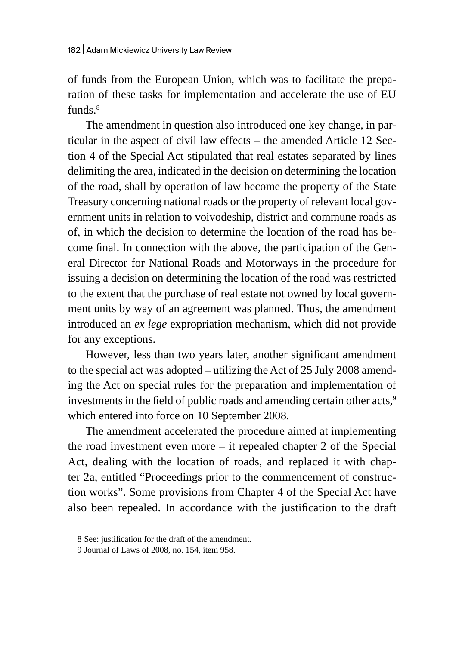of funds from the European Union, which was to facilitate the preparation of these tasks for implementation and accelerate the use of EU funds $8<sup>8</sup>$ 

The amendment in question also introduced one key change, in particular in the aspect of civil law effects – the amended Article 12 Section 4 of the Special Act stipulated that real estates separated by lines delimiting the area, indicated in the decision on determining the location of the road, shall by operation of law become the property of the State Treasury concerning national roads or the property of relevant local government units in relation to voivodeship, district and commune roads as of, in which the decision to determine the location of the road has become final. In connection with the above, the participation of the General Director for National Roads and Motorways in the procedure for issuing a decision on determining the location of the road was restricted to the extent that the purchase of real estate not owned by local government units by way of an agreement was planned. Thus, the amendment introduced an *ex lege* expropriation mechanism, which did not provide for any exceptions.

However, less than two years later, another significant amendment to the special act was adopted – utilizing the Act of 25 July 2008 amending the Act on special rules for the preparation and implementation of investments in the field of public roads and amending certain other acts,<sup>9</sup> which entered into force on 10 September 2008.

The amendment accelerated the procedure aimed at implementing the road investment even more – it repealed chapter 2 of the Special Act, dealing with the location of roads, and replaced it with chapter 2a, entitled "Proceedings prior to the commencement of construction works". Some provisions from Chapter 4 of the Special Act have also been repealed. In accordance with the justification to the draft

<sup>8</sup> See: justification for the draft of the amendment.

<sup>9</sup> Journal of Laws of 2008, no. 154, item 958.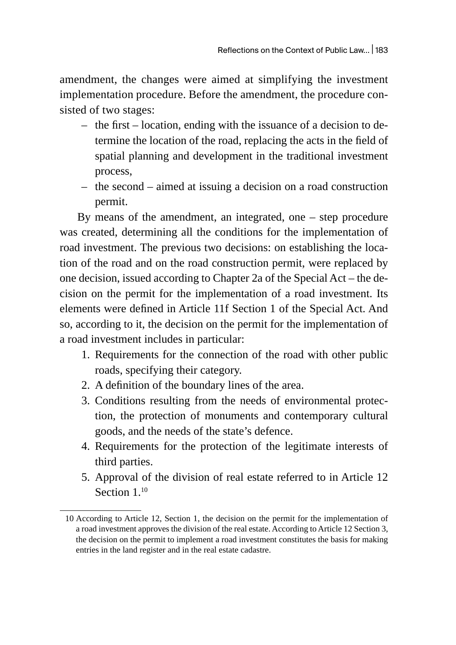amendment, the changes were aimed at simplifying the investment implementation procedure. Before the amendment, the procedure consisted of two stages:

- the first location, ending with the issuance of a decision to determine the location of the road, replacing the acts in the field of spatial planning and development in the traditional investment process,
- the second aimed at issuing a decision on a road construction permit.

By means of the amendment, an integrated, one – step procedure was created, determining all the conditions for the implementation of road investment. The previous two decisions: on establishing the location of the road and on the road construction permit, were replaced by one decision, issued according to Chapter 2a of the Special Act – the decision on the permit for the implementation of a road investment. Its elements were defined in Article 11f Section 1 of the Special Act. And so, according to it, the decision on the permit for the implementation of a road investment includes in particular:

- 1. Requirements for the connection of the road with other public roads, specifying their category.
- 2. A definition of the boundary lines of the area.
- 3. Conditions resulting from the needs of environmental protection, the protection of monuments and contemporary cultural goods, and the needs of the state's defence.
- 4. Requirements for the protection of the legitimate interests of third parties.
- 5. Approval of the division of real estate referred to in Article 12 Section 1.10

<sup>10</sup> According to Article 12, Section 1, the decision on the permit for the implementation of a road investment approves the division of the real estate. According to Article 12 Section 3, the decision on the permit to implement a road investment constitutes the basis for making entries in the land register and in the real estate cadastre.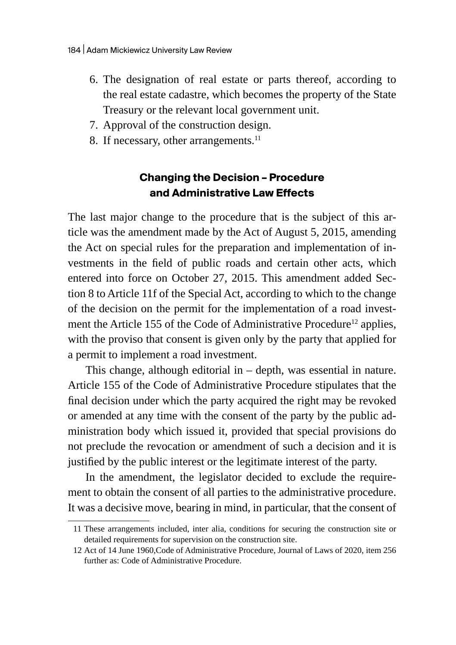- 6. The designation of real estate or parts thereof, according to the real estate cadastre, which becomes the property of the State Treasury or the relevant local government unit.
- 7. Approval of the construction design.
- 8. If necessary, other arrangements. $^{11}$

### **Changing the Decision – Procedure and Administrative Law Effects**

The last major change to the procedure that is the subject of this article was the amendment made by the Act of August 5, 2015, amending the Act on special rules for the preparation and implementation of investments in the field of public roads and certain other acts, which entered into force on October 27, 2015. This amendment added Section 8 to Article 11f of the Special Act, according to which to the change of the decision on the permit for the implementation of a road investment the Article 155 of the Code of Administrative Procedure<sup>12</sup> applies, with the proviso that consent is given only by the party that applied for a permit to implement a road investment.

This change, although editorial in – depth, was essential in nature. Article 155 of the Code of Administrative Procedure stipulates that the final decision under which the party acquired the right may be revoked or amended at any time with the consent of the party by the public administration body which issued it, provided that special provisions do not preclude the revocation or amendment of such a decision and it is justified by the public interest or the legitimate interest of the party.

In the amendment, the legislator decided to exclude the requirement to obtain the consent of all parties to the administrative procedure. It was a decisive move, bearing in mind, in particular, that the consent of

<sup>11</sup> These arrangements included, inter alia, conditions for securing the construction site or detailed requirements for supervision on the construction site.

<sup>12</sup> Act of 14 June 1960,Code of Administrative Procedure, Journal of Laws of 2020, item 256 further as: Code of Administrative Procedure.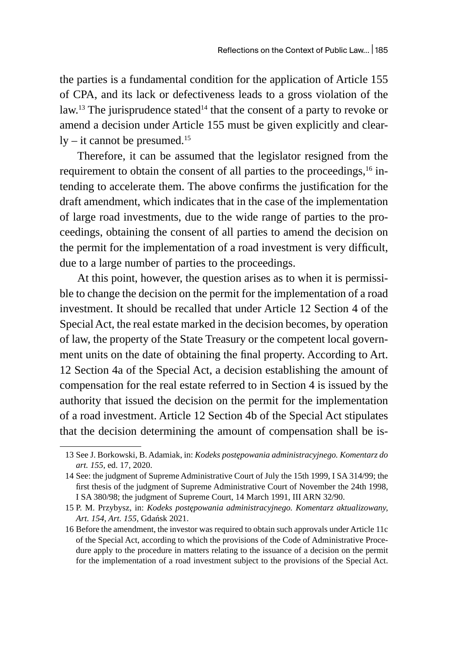the parties is a fundamental condition for the application of Article 155 of CPA, and its lack or defectiveness leads to a gross violation of the law.<sup>13</sup> The jurisprudence stated<sup>14</sup> that the consent of a party to revoke or amend a decision under Article 155 must be given explicitly and clear $ly - it$  cannot be presumed.<sup>15</sup>

Therefore, it can be assumed that the legislator resigned from the requirement to obtain the consent of all parties to the proceedings, $16$  intending to accelerate them. The above confirms the justification for the draft amendment, which indicates that in the case of the implementation of large road investments, due to the wide range of parties to the proceedings, obtaining the consent of all parties to amend the decision on the permit for the implementation of a road investment is very difficult, due to a large number of parties to the proceedings.

At this point, however, the question arises as to when it is permissible to change the decision on the permit for the implementation of a road investment. It should be recalled that under Article 12 Section 4 of the Special Act, the real estate marked in the decision becomes, by operation of law, the property of the State Treasury or the competent local government units on the date of obtaining the final property. According to Art. 12 Section 4a of the Special Act, a decision establishing the amount of compensation for the real estate referred to in Section 4 is issued by the authority that issued the decision on the permit for the implementation of a road investment. Article 12 Section 4b of the Special Act stipulates that the decision determining the amount of compensation shall be is-

<sup>13</sup> See J. Borkowski, B. Adamiak, in: *Kodeks postępowania administracyjnego. Komentarz do art. 155*, ed. 17, 2020.

<sup>14</sup> See: the judgment of Supreme Administrative Court of July the 15th 1999, I SA 314/99; the first thesis of the judgment of Supreme Administrative Court of November the 24th 1998, I SA 380/98; the judgment of Supreme Court, 14 March 1991, III ARN 32/90.

<sup>15</sup> P. M. Przybysz, in: *Kodeks postępowania administracyjnego. Komentarz aktualizowany, Art. 154, Art. 155,* Gdańsk 2021.

<sup>16</sup> Before the amendment, the investor was required to obtain such approvals under Article 11c of the Special Act, according to which the provisions of the Code of Administrative Procedure apply to the procedure in matters relating to the issuance of a decision on the permit for the implementation of a road investment subject to the provisions of the Special Act.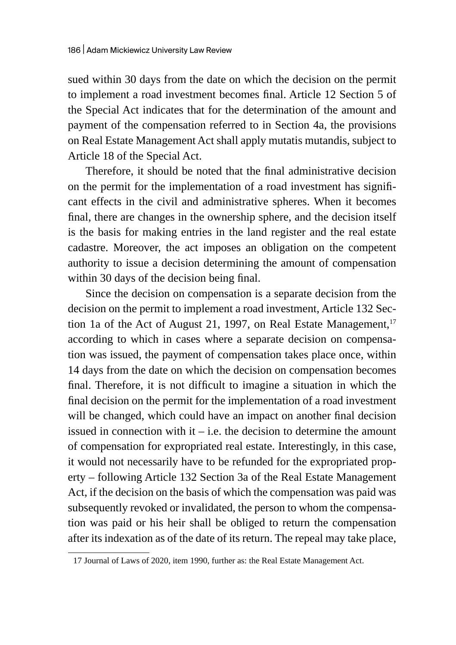sued within 30 days from the date on which the decision on the permit to implement a road investment becomes final. Article 12 Section 5 of the Special Act indicates that for the determination of the amount and payment of the compensation referred to in Section 4a, the provisions on Real Estate Management Act shall apply mutatis mutandis, subject to Article 18 of the Special Act.

Therefore, it should be noted that the final administrative decision on the permit for the implementation of a road investment has significant effects in the civil and administrative spheres. When it becomes final, there are changes in the ownership sphere, and the decision itself is the basis for making entries in the land register and the real estate cadastre. Moreover, the act imposes an obligation on the competent authority to issue a decision determining the amount of compensation within 30 days of the decision being final.

Since the decision on compensation is a separate decision from the decision on the permit to implement a road investment, Article 132 Section 1a of the Act of August 21, 1997, on Real Estate Management, $17$ according to which in cases where a separate decision on compensation was issued, the payment of compensation takes place once, within 14 days from the date on which the decision on compensation becomes final. Therefore, it is not difficult to imagine a situation in which the final decision on the permit for the implementation of a road investment will be changed, which could have an impact on another final decision issued in connection with it  $-$  i.e. the decision to determine the amount of compensation for expropriated real estate. Interestingly, in this case, it would not necessarily have to be refunded for the expropriated property – following Article 132 Section 3a of the Real Estate Management Act, if the decision on the basis of which the compensation was paid was subsequently revoked or invalidated, the person to whom the compensation was paid or his heir shall be obliged to return the compensation after its indexation as of the date of its return. The repeal may take place,

<sup>17</sup> Journal of Laws of 2020, item 1990, further as: the Real Estate Management Act.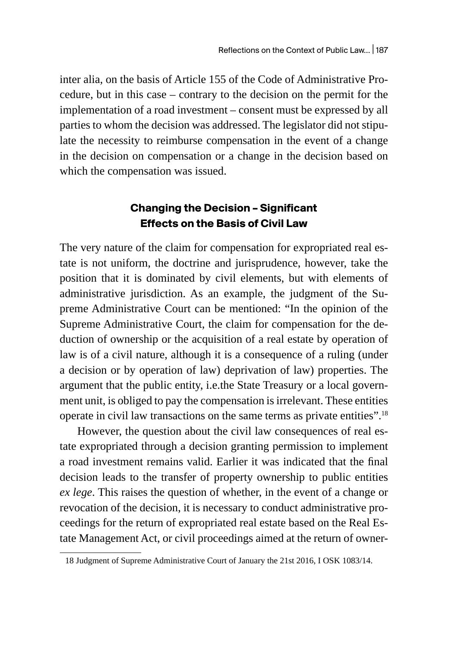inter alia, on the basis of Article 155 of the Code of Administrative Procedure, but in this case – contrary to the decision on the permit for the implementation of a road investment – consent must be expressed by all parties to whom the decision was addressed. The legislator did not stipulate the necessity to reimburse compensation in the event of a change in the decision on compensation or a change in the decision based on which the compensation was issued.

### **Changing the Decision – Significant Effects on the Basis of Civil Law**

The very nature of the claim for compensation for expropriated real estate is not uniform, the doctrine and jurisprudence, however, take the position that it is dominated by civil elements, but with elements of administrative jurisdiction. As an example, the judgment of the Supreme Administrative Court can be mentioned: "In the opinion of the Supreme Administrative Court, the claim for compensation for the deduction of ownership or the acquisition of a real estate by operation of law is of a civil nature, although it is a consequence of a ruling (under a decision or by operation of law) deprivation of law) properties. The argument that the public entity, i.e.the State Treasury or a local government unit, is obliged to pay the compensation is irrelevant. These entities operate in civil law transactions on the same terms as private entities".18

However, the question about the civil law consequences of real estate expropriated through a decision granting permission to implement a road investment remains valid. Earlier it was indicated that the final decision leads to the transfer of property ownership to public entities *ex lege*. This raises the question of whether, in the event of a change or revocation of the decision, it is necessary to conduct administrative proceedings for the return of expropriated real estate based on the Real Estate Management Act, or civil proceedings aimed at the return of owner-

<sup>18</sup> Judgment of Supreme Administrative Court of January the 21st 2016, I OSK 1083/14.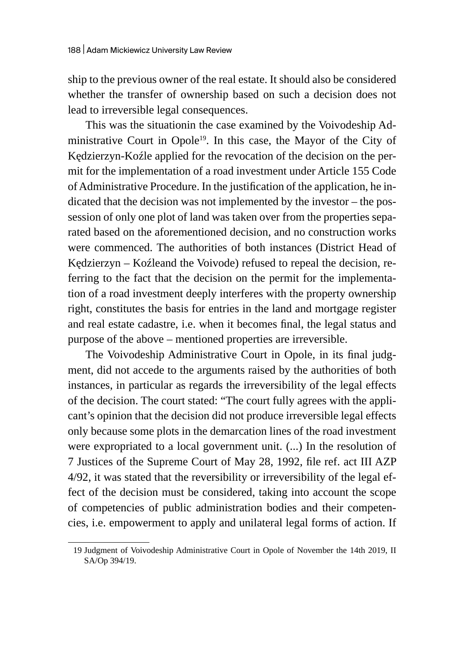ship to the previous owner of the real estate. It should also be considered whether the transfer of ownership based on such a decision does not lead to irreversible legal consequences.

This was the situationin the case examined by the Voivodeship Administrative Court in Opole<sup>19</sup>. In this case, the Mayor of the City of Kędzierzyn-Koźle applied for the revocation of the decision on the permit for the implementation of a road investment under Article 155 Code of Administrative Procedure. In the justification of the application, he indicated that the decision was not implemented by the investor – the possession of only one plot of land was taken over from the properties separated based on the aforementioned decision, and no construction works were commenced. The authorities of both instances (District Head of Kędzierzyn – Koźleand the Voivode) refused to repeal the decision, referring to the fact that the decision on the permit for the implementation of a road investment deeply interferes with the property ownership right, constitutes the basis for entries in the land and mortgage register and real estate cadastre, i.e. when it becomes final, the legal status and purpose of the above – mentioned properties are irreversible.

The Voivodeship Administrative Court in Opole, in its final judgment, did not accede to the arguments raised by the authorities of both instances, in particular as regards the irreversibility of the legal effects of the decision. The court stated: "The court fully agrees with the applicant's opinion that the decision did not produce irreversible legal effects only because some plots in the demarcation lines of the road investment were expropriated to a local government unit. (...) In the resolution of 7 Justices of the Supreme Court of May 28, 1992, file ref. act III AZP 4/92, it was stated that the reversibility or irreversibility of the legal effect of the decision must be considered, taking into account the scope of competencies of public administration bodies and their competencies, i.e. empowerment to apply and unilateral legal forms of action. If

<sup>19</sup> Judgment of Voivodeship Administrative Court in Opole of November the 14th 2019, II SA/Op 394/19.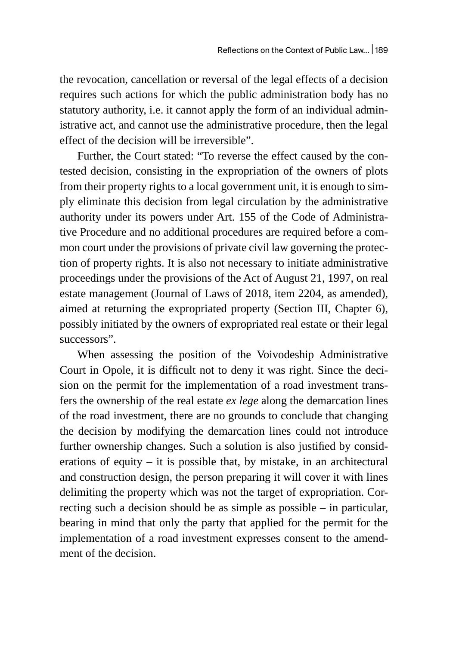the revocation, cancellation or reversal of the legal effects of a decision requires such actions for which the public administration body has no statutory authority, i.e. it cannot apply the form of an individual administrative act, and cannot use the administrative procedure, then the legal effect of the decision will be irreversible".

Further, the Court stated: "To reverse the effect caused by the contested decision, consisting in the expropriation of the owners of plots from their property rights to a local government unit, it is enough to simply eliminate this decision from legal circulation by the administrative authority under its powers under Art. 155 of the Code of Administrative Procedure and no additional procedures are required before a common court under the provisions of private civil law governing the protection of property rights. It is also not necessary to initiate administrative proceedings under the provisions of the Act of August 21, 1997, on real estate management (Journal of Laws of 2018, item 2204, as amended), aimed at returning the expropriated property (Section III, Chapter 6), possibly initiated by the owners of expropriated real estate or their legal successors".

When assessing the position of the Voivodeship Administrative Court in Opole, it is difficult not to deny it was right. Since the decision on the permit for the implementation of a road investment transfers the ownership of the real estate *ex lege* along the demarcation lines of the road investment, there are no grounds to conclude that changing the decision by modifying the demarcation lines could not introduce further ownership changes. Such a solution is also justified by considerations of equity  $-$  it is possible that, by mistake, in an architectural and construction design, the person preparing it will cover it with lines delimiting the property which was not the target of expropriation. Correcting such a decision should be as simple as possible – in particular, bearing in mind that only the party that applied for the permit for the implementation of a road investment expresses consent to the amendment of the decision.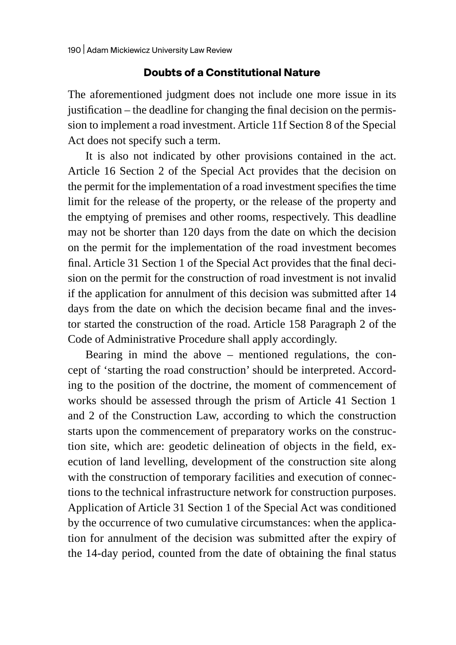#### **Doubts of a Constitutional Nature**

The aforementioned judgment does not include one more issue in its justification – the deadline for changing the final decision on the permission to implement a road investment. Article 11f Section 8 of the Special Act does not specify such a term.

It is also not indicated by other provisions contained in the act. Article 16 Section 2 of the Special Act provides that the decision on the permit for the implementation of a road investment specifies the time limit for the release of the property, or the release of the property and the emptying of premises and other rooms, respectively. This deadline may not be shorter than 120 days from the date on which the decision on the permit for the implementation of the road investment becomes final. Article 31 Section 1 of the Special Act provides that the final decision on the permit for the construction of road investment is not invalid if the application for annulment of this decision was submitted after 14 days from the date on which the decision became final and the investor started the construction of the road. Article 158 Paragraph 2 of the Code of Administrative Procedure shall apply accordingly.

Bearing in mind the above – mentioned regulations, the concept of 'starting the road construction' should be interpreted. According to the position of the doctrine, the moment of commencement of works should be assessed through the prism of Article 41 Section 1 and 2 of the Construction Law, according to which the construction starts upon the commencement of preparatory works on the construction site, which are: geodetic delineation of objects in the field, execution of land levelling, development of the construction site along with the construction of temporary facilities and execution of connections to the technical infrastructure network for construction purposes. Application of Article 31 Section 1 of the Special Act was conditioned by the occurrence of two cumulative circumstances: when the application for annulment of the decision was submitted after the expiry of the 14-day period, counted from the date of obtaining the final status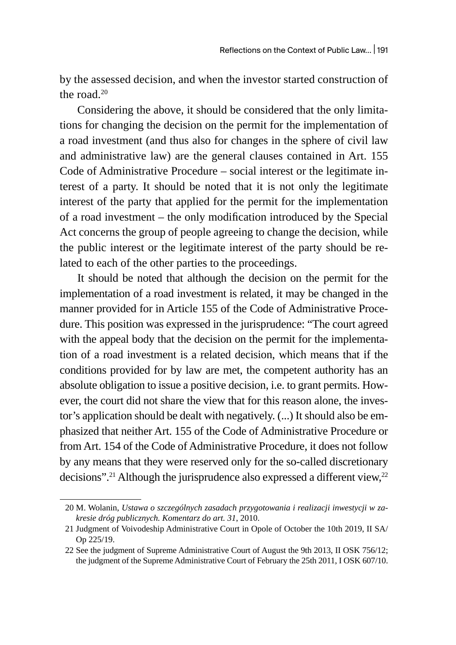by the assessed decision, and when the investor started construction of the road. $20$ 

Considering the above, it should be considered that the only limitations for changing the decision on the permit for the implementation of a road investment (and thus also for changes in the sphere of civil law and administrative law) are the general clauses contained in Art. 155 Code of Administrative Procedure – social interest or the legitimate interest of a party. It should be noted that it is not only the legitimate interest of the party that applied for the permit for the implementation of a road investment – the only modification introduced by the Special Act concerns the group of people agreeing to change the decision, while the public interest or the legitimate interest of the party should be related to each of the other parties to the proceedings.

It should be noted that although the decision on the permit for the implementation of a road investment is related, it may be changed in the manner provided for in Article 155 of the Code of Administrative Procedure. This position was expressed in the jurisprudence: "The court agreed with the appeal body that the decision on the permit for the implementation of a road investment is a related decision, which means that if the conditions provided for by law are met, the competent authority has an absolute obligation to issue a positive decision, i.e. to grant permits. However, the court did not share the view that for this reason alone, the investor's application should be dealt with negatively. (...) It should also be emphasized that neither Art. 155 of the Code of Administrative Procedure or from Art. 154 of the Code of Administrative Procedure, it does not follow by any means that they were reserved only for the so-called discretionary decisions".<sup>21</sup> Although the jurisprudence also expressed a different view,<sup>22</sup>

<sup>20</sup> M. Wolanin, *Ustawa o szczególnych zasadach przygotowania i realizacji inwestycji w zakresie dróg publicznych. Komentarz do art. 31*, 2010.

<sup>21</sup> Judgment of Voivodeship Administrative Court in Opole of October the 10th 2019, II SA/ Op 225/19.

<sup>22</sup> See the judgment of Supreme Administrative Court of August the 9th 2013, II OSK 756/12; the judgment of the Supreme Administrative Court of February the 25th 2011, I OSK 607/10.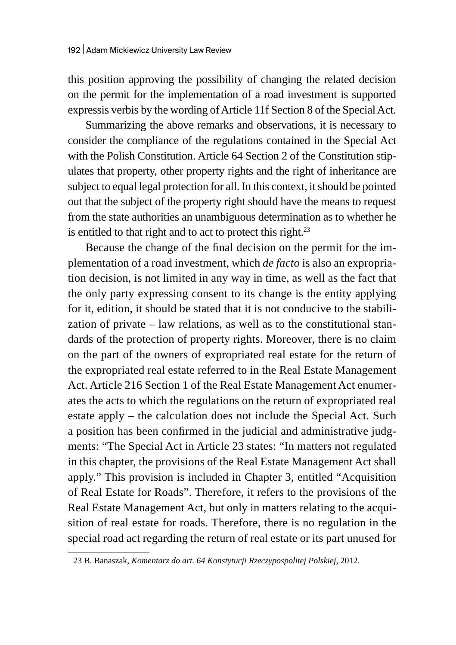this position approving the possibility of changing the related decision on the permit for the implementation of a road investment is supported expressis verbis by the wording of Article 11f Section 8 of the Special Act.

Summarizing the above remarks and observations, it is necessary to consider the compliance of the regulations contained in the Special Act with the Polish Constitution. Article 64 Section 2 of the Constitution stipulates that property, other property rights and the right of inheritance are subject to equal legal protection for all. In this context, it should be pointed out that the subject of the property right should have the means to request from the state authorities an unambiguous determination as to whether he is entitled to that right and to act to protect this right. $23$ 

Because the change of the final decision on the permit for the implementation of a road investment, which *de facto* is also an expropriation decision, is not limited in any way in time, as well as the fact that the only party expressing consent to its change is the entity applying for it, edition, it should be stated that it is not conducive to the stabilization of private – law relations, as well as to the constitutional standards of the protection of property rights. Moreover, there is no claim on the part of the owners of expropriated real estate for the return of the expropriated real estate referred to in the Real Estate Management Act. Article 216 Section 1 of the Real Estate Management Act enumerates the acts to which the regulations on the return of expropriated real estate apply – the calculation does not include the Special Act. Such a position has been confirmed in the judicial and administrative judgments: "The Special Act in Article 23 states: "In matters not regulated in this chapter, the provisions of the Real Estate Management Act shall apply." This provision is included in Chapter 3, entitled "Acquisition of Real Estate for Roads". Therefore, it refers to the provisions of the Real Estate Management Act, but only in matters relating to the acquisition of real estate for roads. Therefore, there is no regulation in the special road act regarding the return of real estate or its part unused for

<sup>23</sup> B. Banaszak, *Komentarz do art. 64 Konstytucji Rzeczypospolitej Polskiej*, 2012.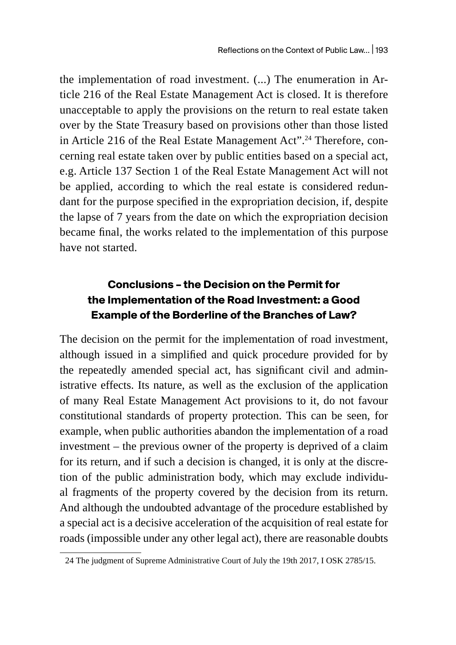the implementation of road investment. (...) The enumeration in Article 216 of the Real Estate Management Act is closed. It is therefore unacceptable to apply the provisions on the return to real estate taken over by the State Treasury based on provisions other than those listed in Article 216 of the Real Estate Management Act".<sup>24</sup> Therefore, concerning real estate taken over by public entities based on a special act, e.g. Article 137 Section 1 of the Real Estate Management Act will not be applied, according to which the real estate is considered redundant for the purpose specified in the expropriation decision, if, despite the lapse of 7 years from the date on which the expropriation decision became final, the works related to the implementation of this purpose have not started.

## **Conclusions – the Decision on the Permit for the Implementation of the Road Investment: a Good Example of the Borderline of the Branches of Law?**

The decision on the permit for the implementation of road investment, although issued in a simplified and quick procedure provided for by the repeatedly amended special act, has significant civil and administrative effects. Its nature, as well as the exclusion of the application of many Real Estate Management Act provisions to it, do not favour constitutional standards of property protection. This can be seen, for example, when public authorities abandon the implementation of a road investment – the previous owner of the property is deprived of a claim for its return, and if such a decision is changed, it is only at the discretion of the public administration body, which may exclude individual fragments of the property covered by the decision from its return. And although the undoubted advantage of the procedure established by a special act is a decisive acceleration of the acquisition of real estate for roads (impossible under any other legal act), there are reasonable doubts

<sup>24</sup> The judgment of Supreme Administrative Court of July the 19th 2017, I OSK 2785/15.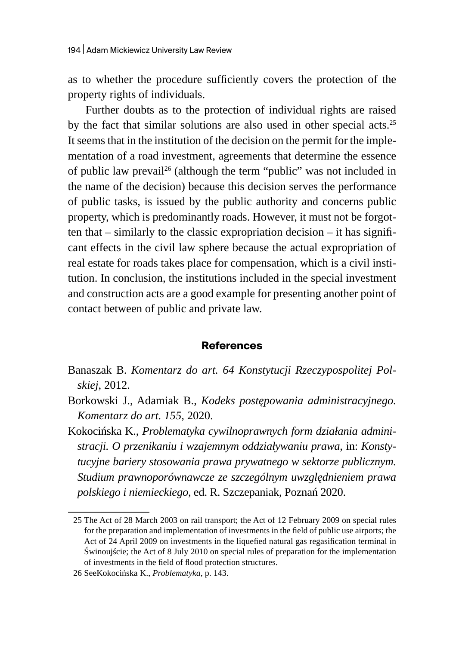as to whether the procedure sufficiently covers the protection of the property rights of individuals.

Further doubts as to the protection of individual rights are raised by the fact that similar solutions are also used in other special acts.<sup>25</sup> It seems that in the institution of the decision on the permit for the implementation of a road investment, agreements that determine the essence of public law prevail<sup>26</sup> (although the term "public" was not included in the name of the decision) because this decision serves the performance of public tasks, is issued by the public authority and concerns public property, which is predominantly roads. However, it must not be forgotten that – similarly to the classic expropriation decision – it has significant effects in the civil law sphere because the actual expropriation of real estate for roads takes place for compensation, which is a civil institution. In conclusion, the institutions included in the special investment and construction acts are a good example for presenting another point of contact between of public and private law.

#### **References**

- Banaszak B. *Komentarz do art. 64 Konstytucji Rzeczypospolitej Polskiej*, 2012.
- Borkowski J., Adamiak B., *Kodeks postępowania administracyjnego. Komentarz do art. 155,* 2020.
- Kokocińska K., *Problematyka cywilnoprawnych form działania administracji. O przenikaniu i wzajemnym oddziaływaniu prawa*, in: *Konstytucyjne bariery stosowania prawa prywatnego w sektorze publicznym. Studium prawnoporównawcze ze szczególnym uwzględnieniem prawa polskiego i niemieckiego*, ed. R. Szczepaniak, Poznań 2020.

<sup>25</sup> The Act of 28 March 2003 on rail transport; the Act of 12 February 2009 on special rules for the preparation and implementation of investments in the field of public use airports; the Act of 24 April 2009 on investments in the liquefied natural gas regasification terminal in Świnoujście; the Act of 8 July 2010 on special rules of preparation for the implementation of investments in the field of flood protection structures.

<sup>26</sup> SeeKokocińska K., *Problematyka*, p. 143.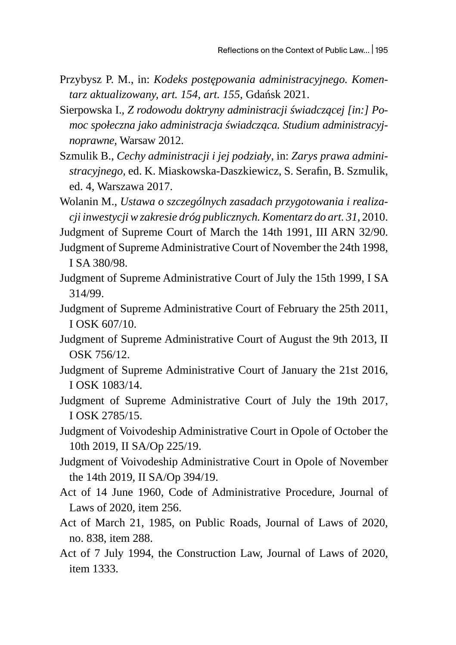- Przybysz P. M., in: *Kodeks postępowania administracyjnego. Komentarz aktualizowany, art. 154, art. 155*, Gdańsk 2021.
- Sierpowska I., *Z rodowodu doktryny administracji świadczącej [in:] Pomoc społeczna jako administracja świadcząca. Studium administracyjnoprawne*, Warsaw 2012.
- Szmulik B., *Cechy administracji i jej podziały*, in: *Zarys prawa administracyjnego,* ed. K. Miaskowska-Daszkiewicz, S. Serafin, B. Szmulik, ed. 4, Warszawa 2017.

Wolanin M., *Ustawa o szczególnych zasadach przygotowania i realizacji inwestycjiw zakresie dróg publicznych.Komentarz do art. 31*, 2010.

Judgment of Supreme Court of March the 14th 1991, III ARN 32/90.

- Judgment of Supreme Administrative Court of November the 24th 1998, I SA 380/98.
- Judgment of Supreme Administrative Court of July the 15th 1999, I SA 314/99.
- Judgment of Supreme Administrative Court of February the 25th 2011, I OSK 607/10.
- Judgment of Supreme Administrative Court of August the 9th 2013, II OSK 756/12.
- Judgment of Supreme Administrative Court of January the 21st 2016, I OSK 1083/14.
- Judgment of Supreme Administrative Court of July the 19th 2017, I OSK 2785/15.
- Judgment of Voivodeship Administrative Court in Opole of October the 10th 2019, II SA/Op 225/19.
- Judgment of Voivodeship Administrative Court in Opole of November the 14th 2019, II SA/Op 394/19.
- Act of 14 June 1960, Code of Administrative Procedure, Journal of Laws of 2020, item 256.
- Act of March 21, 1985, on Public Roads, Journal of Laws of 2020, no. 838, item 288.
- Act of 7 July 1994, the Construction Law, Journal of Laws of 2020, item 1333.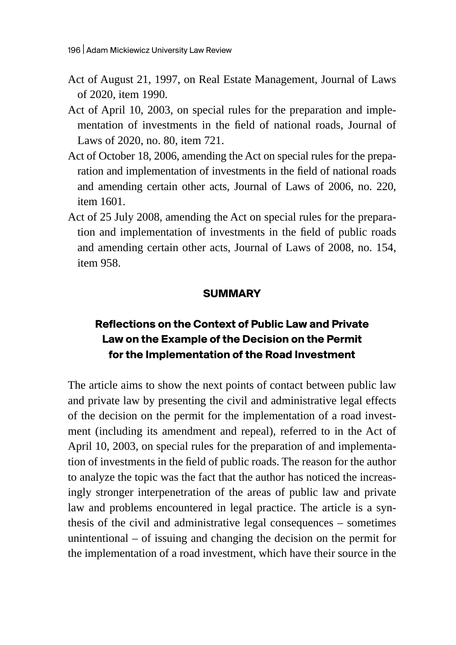- Act of August 21, 1997, on Real Estate Management, Journal of Laws of 2020, item 1990.
- Act of April 10, 2003, on special rules for the preparation and implementation of investments in the field of national roads, Journal of Laws of 2020, no. 80, item 721.
- Act of October 18, 2006, amending the Act on special rules for the preparation and implementation of investments in the field of national roads and amending certain other acts, Journal of Laws of 2006, no. 220, item 1601.
- Act of 25 July 2008, amending the Act on special rules for the preparation and implementation of investments in the field of public roads and amending certain other acts, Journal of Laws of 2008, no. 154, item 958.

### **SUMMARY**

# **Reflections on the Context of Public Law and Private Law on the Example of the Decision on the Permit for the Implementation of the Road Investment**

The article aims to show the next points of contact between public law and private law by presenting the civil and administrative legal effects of the decision on the permit for the implementation of a road investment (including its amendment and repeal), referred to in the Act of April 10, 2003, on special rules for the preparation of and implementation of investments in the field of public roads. The reason for the author to analyze the topic was the fact that the author has noticed the increasingly stronger interpenetration of the areas of public law and private law and problems encountered in legal practice. The article is a synthesis of the civil and administrative legal consequences – sometimes unintentional – of issuing and changing the decision on the permit for the implementation of a road investment, which have their source in the